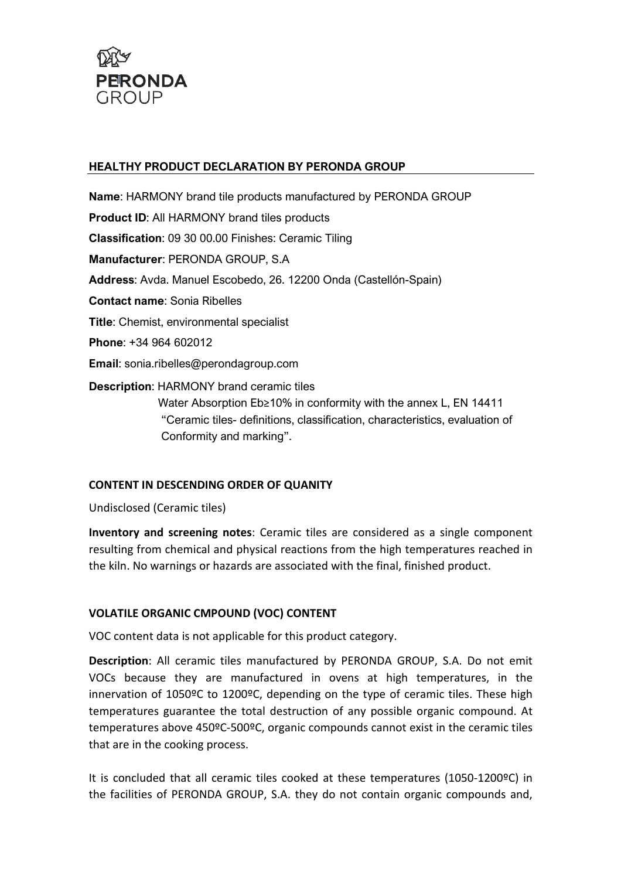

## HEALTHY PRODUCT DECLARATION BY PERONDA GROUP

Name: HARMONY brand tile products manufactured by PERONDA GROUP Product ID: All HARMONY brand tiles products Classification: 09 30 00.00 Finishes: Ceramic Tiling Manufacturer: PERONDA GROUP, S.A Address: Avda. Manuel Escobedo, 26. 12200 Onda (Castellón-Spain) Contact name: Sonia Ribelles Title: Chemist, environmental specialist Phone: +34 964 602012 Email: sonia.ribelles@perondagroup.com Description: HARMONY brand ceramic tiles Water Absorption Eb≥10% in conformity with the annex L, EN 14411 "Ceramic tiles- definitions, classification, characteristics, evaluation of

## CONTENT IN DESCENDING ORDER OF QUANITY

Conformity and marking".

Undisclosed (Ceramic tiles)

Inventory and screening notes: Ceramic tiles are considered as a single component resulting from chemical and physical reactions from the high temperatures reached in the kiln. No warnings or hazards are associated with the final, finished product.

## VOLATILE ORGANIC CMPOUND (VOC) CONTENT

VOC content data is not applicable for this product category.

Description: All ceramic tiles manufactured by PERONDA GROUP, S.A. Do not emit VOCs because they are manufactured in ovens at high temperatures, in the innervation of 1050ºC to 1200ºC, depending on the type of ceramic tiles. These high temperatures guarantee the total destruction of any possible organic compound. At temperatures above 450ºC-500ºC, organic compounds cannot exist in the ceramic tiles that are in the cooking process.

It is concluded that all ceramic tiles cooked at these temperatures (1050-1200ºC) in the facilities of PERONDA GROUP, S.A. they do not contain organic compounds and,